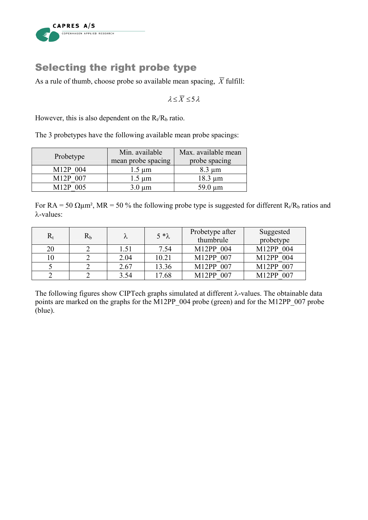

## Selecting the right probe type

As a rule of thumb, choose probe so available mean spacing,  $\overline{X}$  fulfill:

 $\lambda < \overline{X}$  < 5  $\lambda$ 

However, this is also dependent on the  $R_t/R_b$  ratio.

The 3 probetypes have the following available mean probe spacings:

| Probetype | Min. available<br>mean probe spacing | Max. available mean<br>probe spacing |
|-----------|--------------------------------------|--------------------------------------|
| M12P 004  | $1.5 \mu m$                          | $8.3 \mu m$                          |
| M12P 007  | $1.5 \mu m$                          | $18.3 \mu m$                         |
| M12P 005  | $3.0 \mu m$                          | $59.0 \mu m$                         |

For RA = 50  $\Omega \mu$ m<sup>2</sup>, MR = 50 % the following probe type is suggested for different R<sub>t</sub>/R<sub>b</sub> ratios and λ-values:

| $\rm R_{t}$ | $\rm R_b$ |      | $5 * \lambda$ | Probetype after<br>thumbrule | Suggested<br>probetype    |
|-------------|-----------|------|---------------|------------------------------|---------------------------|
| 20          |           | 1.51 | 7.54          | M12PP 004                    | M12PP 004                 |
|             |           | 2.04 | 10.21         | M12PP 007                    | M12PP 004                 |
|             |           | 2.67 | 13.36         | M12PP 007                    | M12PP 007                 |
|             |           | 3.54 | 17.68         | M12PP 007                    | 007<br>M <sub>12</sub> PP |

The following figures show CIPTech graphs simulated at different λ-values. The obtainable data points are marked on the graphs for the M12PP\_004 probe (green) and for the M12PP\_007 probe (blue).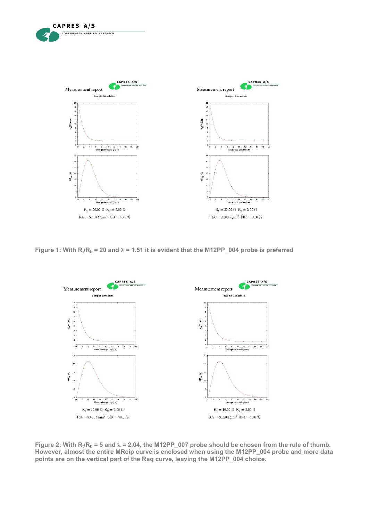

CAPRES A/S

**COPENHAGEN APPLIED RESEARCH** 

**Figure 1: With R<sub>t</sub>/R<sub>b</sub> = 20 and**  $\lambda$  **= 1.51 it is evident that the M12PP\_004 probe is preferred** 



Figure 2: With  $R_t/R_b = 5$  and  $\lambda = 2.04$ , the M12PP\_007 probe should be chosen from the rule of thumb. **However, almost the entire MRcip curve is enclosed when using the M12PP\_004 probe and more data points are on the vertical part of the Rsq curve, leaving the M12PP\_004 choice.**